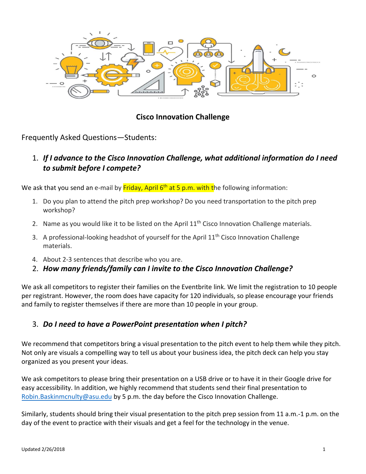

# **Cisco Innovation Challenge**

Frequently Asked Questions—Students:

1. *If I advance to the Cisco Innovation Challenge, what additional information do I need to submit before I compete?*

We ask that you send an e-mail by <mark>Friday, April 6<sup>th</sup> at 5 p.m. with t</mark>he following information:

- 1. Do you plan to attend the pitch prep workshop? Do you need transportation to the pitch prep workshop?
- 2. Name as you would like it to be listed on the April  $11<sup>th</sup>$  Cisco Innovation Challenge materials.
- 3. A professional-looking headshot of yourself for the April 11<sup>th</sup> Cisco Innovation Challenge materials.
- 4. About 2-3 sentences that describe who you are.
- 2. *How many friends/family can I invite to the Cisco Innovation Challenge?*

We ask all competitors to register their families on the Eventbrite link. We limit the registration to 10 people per registrant. However, the room does have capacity for 120 individuals, so please encourage your friends and family to register themselves if there are more than 10 people in your group.

## 3. *Do I need to have a PowerPoint presentation when I pitch?*

We recommend that competitors bring a visual presentation to the pitch event to help them while they pitch. Not only are visuals a compelling way to tell us about your business idea, the pitch deck can help you stay organized as you present your ideas.

We ask competitors to please bring their presentation on a USB drive or to have it in their Google drive for easy accessibility. In addition, we highly recommend that students send their final presentation to [Robin.Baskinmcnulty](mailto:Elizabeth.Cantu@asu.edu)@asu.edu by 5 p.m. the day before the Cisco Innovation Challenge.

Similarly, students should bring their visual presentation to the pitch prep session from 11 a.m.-1 p.m. on the day of the event to practice with their visuals and get a feel for the technology in the venue.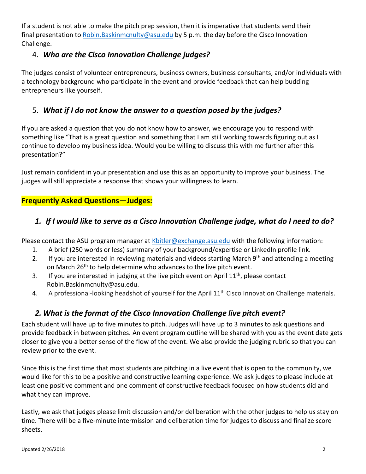If a student is not able to make the pitch prep session, then it is imperative that students send their final presentation to [Robin.Baskinmcnulty](mailto:Elizabeth.Cantu@asu.edu)@asu.edu by 5 p.m. the day before the Cisco Innovation Challenge.

## 4. *Who are the Cisco Innovation Challenge judges?*

The judges consist of volunteer entrepreneurs, business owners, business consultants, and/or individuals with a technology background who participate in the event and provide feedback that can help budding entrepreneurs like yourself.

# 5. *What if I do not know the answer to a question posed by the judges?*

If you are asked a question that you do not know how to answer, we encourage you to respond with something like "That is a great question and something that I am still working towards figuring out as I continue to develop my business idea. Would you be willing to discuss this with me further after this presentation?"

Just remain confident in your presentation and use this as an opportunity to improve your business. The judges will still appreciate a response that shows your willingness to learn.

#### **Frequently Asked Questions—Judges:**

## *1. If I would like to serve as a Cisco Innovation Challenge judge, what do I need to do?*

Please contact the ASU program manager at Kbitler@[exchange.](mailto:Elizabeth.Cantu@asu.edu)asu.edu with the following information:

- 1. A brief (250 words or less) summary of your background/expertise or LinkedIn profile link.
- 2. If you are interested in reviewing materials and videos starting March 9<sup>th</sup> and attending a meeting on March 26<sup>th</sup> to help determine who advances to the live pitch event.
- 3. If you are interested in judging at the live pitch event on April  $11<sup>th</sup>$ , please contact Robin.Baskinmcnulty@asu.edu.
- 4. A professional-looking headshot of yourself for the April 11<sup>th</sup> Cisco Innovation Challenge materials.

# *2. What is the format of the Cisco Innovation Challenge live pitch event?*

Each student will have up to five minutes to pitch. Judges will have up to 3 minutes to ask questions and provide feedback in between pitches. An event program outline will be shared with you as the event date gets closer to give you a better sense of the flow of the event. We also provide the judging rubric so that you can review prior to the event.

Since this is the first time that most students are pitching in a live event that is open to the community, we would like for this to be a positive and constructive learning experience. We ask judges to please include at least one positive comment and one comment of constructive feedback focused on how students did and what they can improve.

Lastly, we ask that judges please limit discussion and/or deliberation with the other judges to help us stay on time. There will be a five-minute intermission and deliberation time for judges to discuss and finalize score sheets.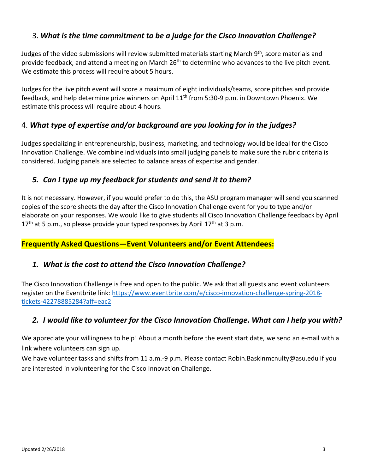## 3. *What is the time commitment to be a judge for the Cisco Innovation Challenge?*

Judges of the video submissions will review submitted materials starting March 9<sup>th</sup>, score materials and provide feedback, and attend a meeting on March 26<sup>th</sup> to determine who advances to the live pitch event. We estimate this process will require about 5 hours.

Judges for the live pitch event will score a maximum of eight individuals/teams, score pitches and provide feedback, and help determine prize winners on April 11<sup>th</sup> from 5:30-9 p.m. in Downtown Phoenix. We estimate this process will require about 4 hours.

## 4. *What type of expertise and/or background are you looking for in the judges?*

Judges specializing in entrepreneurship, business, marketing, and technology would be ideal for the Cisco Innovation Challenge. We combine individuals into small judging panels to make sure the rubric criteria is considered. Judging panels are selected to balance areas of expertise and gender.

## *5. Can I type up my feedback for students and send it to them?*

It is not necessary. However, if you would prefer to do this, the ASU program manager will send you scanned copies of the score sheets the day after the Cisco Innovation Challenge event for you to type and/or elaborate on your responses. We would like to give students all Cisco Innovation Challenge feedback by April  $17<sup>th</sup>$  at 5 p.m., so please provide your typed responses by April  $17<sup>th</sup>$  at 3 p.m.

#### **Frequently Asked Questions—Event Volunteers and/or Event Attendees:**

#### *1. What is the cost to attend the Cisco Innovation Challenge?*

The Cisco Innovation Challenge is free and open to the public. We ask that all guests and event volunteers register on the Eventbrite link: [https://www.eventbrite.com/e/cisco-innovation-challenge-spring-2018](https://www.eventbrite.com/e/cisco-innovation-challenge-fall-2017-tickets-37039601445) [tickets-422788](https://www.eventbrite.com/e/cisco-innovation-challenge-fall-2017-tickets-37039601445)85284?aff=eac2

## *2. I would like to volunteer for the Cisco Innovation Challenge. What can I help you with?*

We appreciate your willingness to help! About a month before the event start date, we send an e-mail with a link where volunteers can sign up.

We have volunteer tasks and shifts from 11 a.m.-9 p.m. Please contact Robin.Baskinmcnulty@asu.edu if you are interested in volunteering for the Cisco Innovation Challenge.